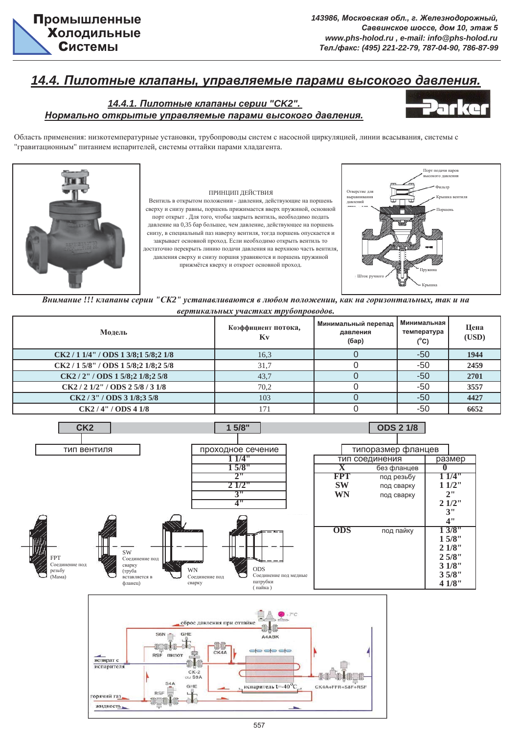

## <u>14.4. Пилотные клапаны, управляемые парами высокого давления.</u>

### $14.4.1.$  Пилотные клапаны серии "СК2". Нормально открытые управляемые парами высокого давления.



Область применения: низкотемпературные установки, трубопроводы систем с насосной циркуляцией, линии всасывания, системы с "гравитационным" питанием испарителей, системы оттайки парами хладагента.



#### ПРИНЦИП ДЕЙСТВИЯ

Вентиль в открытом положении - давления, действующие на поршень сверху и снизу равны, поршень прижимается вверх пружиной, основной порт открыт . Для того, чтобы закрыть вентиль, необходимо подать давление на 0,35 бар большее, чем давление, действующее на поршень снизу, в специальный паз наверху вентиля, тогда поршень опускается и закрывает основной проход. Если необходимо открыть вентиль то достаточно перекрыть линию подачи давления на верхнюю часть вентиля, давления сверху и снизу поршня уравняются и поршень пружиной прижмётся кверху и откроет основной проход



Внимание !!! клапаны серии "СК2" устанавливаются в любом положении, как на горизонтальных, так и на  $\epsilon$ ертикальных участках трубопроводов.

| Молель                               | Коэффициент потока,<br>Kv | Минимальный перепад<br>давления<br>(6ap) | Минимальная<br>температура<br>$(^{\circ}C)$ | Цена<br>(USD) |
|--------------------------------------|---------------------------|------------------------------------------|---------------------------------------------|---------------|
| CK2/1 1/4"/ODS 1 3/8;1 5/8;2 1/8     | 16,3                      |                                          | -50                                         | 1944          |
| CK2 / 1 5/8" / ODS 1 5/8;2 1/8;2 5/8 | 31,7                      |                                          | -50                                         | 2459          |
| CK2 / 2" / ODS 1 5/8;2 1/8;2 5/8     | 43,7                      |                                          | $-50$                                       | 2701          |
| CK2/21/2" / ODS25/8/31/8             | 70.2                      |                                          | -50                                         | 3557          |
| CK2 / 3'' / ODS 31/8; 35/8           | 103                       |                                          | -50                                         | 4427          |
| CK2/4" / ODS 41/8                    | 171                       |                                          | $-50$                                       | 6652          |



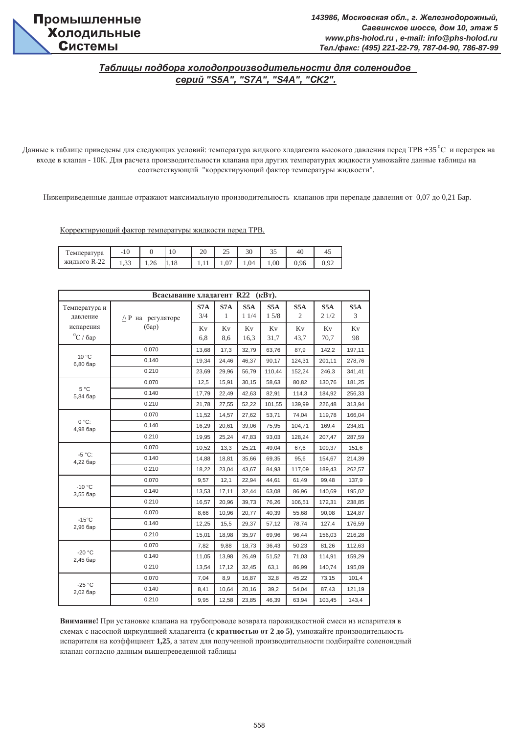## Таблицы подбора холодопроизводительности для соленоидов *ɫɟɪɢɣ "S5A", "S7A", "S4A", "ɋK2".*

Данные в таблице приведены для следующих условий: температура жидкого хладагента высокого давления перед ТРВ +35 °С и перегрев на входе в клапан - 10К. Для расчета производительности клапана при других температурах жидкости умножайте данные таблицы на соответствующий "корректирующий фактор температуры жидкости".

Нижеприведенные данные отражают максимальную производительность клапанов при перепаде давления от 0,07 до 0,21 Бар.

Корректирующий фактор температуры жидкости перед ТРВ.

| 1 емпература | -<br>1 U |      | 10   | 20   | ن ک                   | $\overline{\phantom{a}}$<br>3U | າ ະ<br>υJ | -46  |  |
|--------------|----------|------|------|------|-----------------------|--------------------------------|-----------|------|--|
| жидкого R-22 | ر بي 1   | 1,26 | 1,18 | 1,11 | $\sim$ $\sim$<br>1,01 | 1,04                           | 1,00      | 0,96 |  |

|                                              | Всасывание хладагент R22<br>$(\kappa B)$ . |            |           |                          |             |                                    |             |                       |  |  |  |
|----------------------------------------------|--------------------------------------------|------------|-----------|--------------------------|-------------|------------------------------------|-------------|-----------------------|--|--|--|
| Температура и<br>давление                    | $\triangle$ Р на регуляторе                | S7A<br>3/4 | S7A<br>1  | S <sub>5</sub> A<br>11/4 | S5A<br>15/8 | S <sub>5</sub> A<br>$\overline{2}$ | S5A<br>21/2 | S <sub>5</sub> A<br>3 |  |  |  |
| испарения<br>$^0\mathrm{C}$ / $6\mathrm{ap}$ | (6ap)                                      | Kv<br>6,8  | Kv<br>8,6 | Kv<br>16,3               | Kv<br>31,7  | Kv<br>43,7                         | Kv<br>70,7  | Kv<br>98              |  |  |  |
|                                              | 0,070                                      | 13,68      | 17,3      | 32,79                    | 63,76       | 87,9                               | 142,2       | 197,11                |  |  |  |
| 10 °C<br>6,80 бар                            | 0,140                                      | 19,34      | 24,46     | 46,37                    | 90,17       | 124,31                             | 201,11      | 278,76                |  |  |  |
|                                              | 0,210                                      | 23,69      | 29,96     | 56,79                    | 110,44      | 152,24                             | 246,3       | 341,41                |  |  |  |
|                                              | 0,070                                      | 12,5       | 15,91     | 30,15                    | 58,63       | 80,82                              | 130,76      | 181,25                |  |  |  |
| $5^{\circ}$ C<br>5,84 бар                    | 0,140                                      | 17,79      | 22,49     | 42,63                    | 82,91       | 114,3                              | 184,92      | 256,33                |  |  |  |
|                                              | 0,210                                      | 21,78      | 27,55     | 52,22                    | 101,55      | 139,99                             | 226,48      | 313,94                |  |  |  |
|                                              | 0,070                                      | 11,52      | 14,57     | 27,62                    | 53,71       | 74,04                              | 119,78      | 166,04                |  |  |  |
| $0 °C$ :<br>4,98 бар                         | 0,140                                      | 16,29      | 20,61     | 39,06                    | 75,95       | 104,71                             | 169,4       | 234,81                |  |  |  |
|                                              | 0,210                                      | 19,95      | 25,24     | 47,83                    | 93,03       | 128,24                             | 207,47      | 287,59                |  |  |  |
|                                              | 0,070                                      | 10,52      | 13,3      | 25,21                    | 49,04       | 67,6                               | 109,37      | 151,6                 |  |  |  |
| $-5 °C$ :<br>4,22 бар                        | 0,140                                      | 14,88      | 18,81     | 35,66                    | 69,35       | 95,6                               | 154,67      | 214,39                |  |  |  |
|                                              | 0,210                                      | 18,22      | 23,04     | 43,67                    | 84,93       | 117,09                             | 189,43      | 262,57                |  |  |  |
|                                              | 0,070                                      | 9,57       | 12,1      | 22,94                    | 44,61       | 61,49                              | 99,48       | 137,9                 |  |  |  |
| $-10 °C$<br>3,55 бар                         | 0.140                                      | 13,53      | 17,11     | 32,44                    | 63,08       | 86,96                              | 140,69      | 195,02                |  |  |  |
|                                              | 0,210                                      | 16,57      | 20,96     | 39,73                    | 76,26       | 106,51                             | 172,31      | 238,85                |  |  |  |
|                                              | 0,070                                      | 8,66       | 10,96     | 20,77                    | 40,39       | 55,68                              | 90,08       | 124,87                |  |  |  |
| $-15^{\circ}$ C<br>2,96 бар                  | 0,140                                      | 12,25      | 15,5      | 29,37                    | 57,12       | 78,74                              | 127,4       | 176,59                |  |  |  |
|                                              | 0,210                                      | 15,01      | 18,98     | 35,97                    | 69,96       | 96,44                              | 156,03      | 216,28                |  |  |  |
|                                              | 0.070                                      | 7,82       | 9,88      | 18,73                    | 36,43       | 50,23                              | 81,26       | 112,63                |  |  |  |
| $-20 °C$<br>2,45 бар                         | 0,140                                      | 11,05      | 13,98     | 26,49                    | 51,52       | 71,03                              | 114,91      | 159,29                |  |  |  |
|                                              | 0,210                                      | 13,54      | 17,12     | 32,45                    | 63,1        | 86,99                              | 140,74      | 195,09                |  |  |  |
|                                              | 0,070                                      | 7,04       | 8,9       | 16,87                    | 32,8        | 45,22                              | 73,15       | 101,4                 |  |  |  |
| $-25 °C$<br>2,02 бар                         | 0,140                                      | 8,41       | 10,64     | 20,16                    | 39,2        | 54,04                              | 87,43       | 121,19                |  |  |  |
|                                              | 0,210                                      | 9,95       | 12,58     | 23,85                    | 46,39       | 63,94                              | 103,45      | 143,4                 |  |  |  |

Внимание! При установке клапана на трубопроводе возврата парожидкостной смеси из испарителя в схемах с насосной циркуляцией хладагента (с кратностью от 2 до 5), умножайте производительность испарителя на коэффициент 1,25, а затем для полученной производительности подбирайте соленоидный клапан согласно данным вышепреведенной таблицы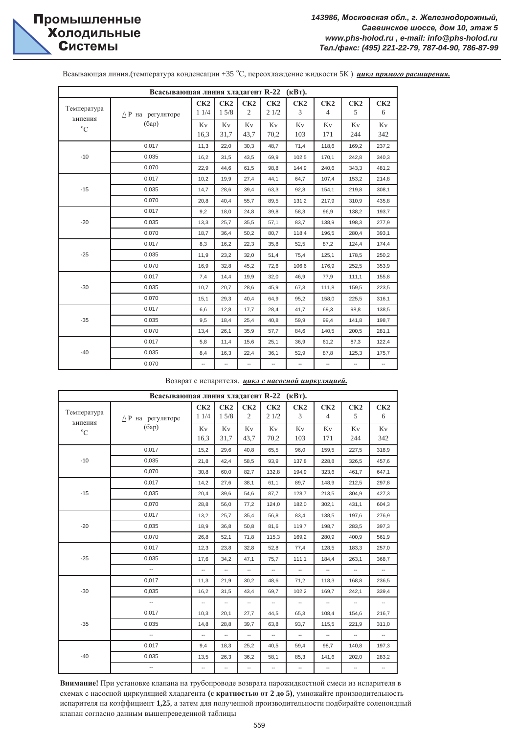# **и Холодильные Системы**

|                        | Всасывающая линия хладагент R-22 (кВт). |             |             |            |             |                       |                       |           |           |
|------------------------|-----------------------------------------|-------------|-------------|------------|-------------|-----------------------|-----------------------|-----------|-----------|
| Температура<br>кипения | $\wedge$ Р на регуляторе                | CK2<br>11/4 | CK2<br>15/8 | CK2<br>2   | CK2<br>21/2 | CK2<br>$\overline{3}$ | CK2<br>$\overline{4}$ | CK2<br>5  | CK2<br>6  |
| $^{\circ}$ C           | (6ap)                                   | Kv<br>16,3  | Kv<br>31,7  | Kv<br>43,7 | Kv<br>70,2  | Kv<br>103             | Kv<br>171             | Kv<br>244 | Kv<br>342 |
|                        | 0,017                                   | 11,3        | 22,0        | 30,3       | 48,7        | 71,4                  | 118,6                 | 169,2     | 237,2     |
| $-10$                  | 0,035                                   | 16,2        | 31,5        | 43,5       | 69,9        | 102,5                 | 170,1                 | 242,8     | 340,3     |
|                        | 0,070                                   | 22,9        | 44,6        | 61,5       | 98,8        | 144,9                 | 240,6                 | 343,3     | 481,2     |
|                        | 0,017                                   | 10,2        | 19,9        | 27,4       | 44,1        | 64,7                  | 107,4                 | 153,2     | 214,8     |
| $-15$                  | 0,035                                   | 14,7        | 28,6        | 39,4       | 63,3        | 92,8                  | 154,1                 | 219,8     | 308,1     |
|                        | 0,070                                   | 20,8        | 40,4        | 55,7       | 89,5        | 131,2                 | 217,9                 | 310,9     | 435,8     |
|                        | 0,017                                   | 9,2         | 18,0        | 24,8       | 39,8        | 58,3                  | 96,9                  | 138,2     | 193,7     |
| $-20$                  | 0,035                                   | 13,3        | 25,7        | 35,5       | 57,1        | 83,7                  | 138,9                 | 198,3     | 277,9     |
|                        | 0.070                                   | 18,7        | 36,4        | 50,2       | 80,7        | 118,4                 | 196,5                 | 280,4     | 393,1     |
|                        | 0,017                                   | 8,3         | 16,2        | 22,3       | 35,8        | 52,5                  | 87,2                  | 124,4     | 174,4     |
| $-25$                  | 0,035                                   | 11,9        | 23,2        | 32,0       | 51,4        | 75,4                  | 125,1                 | 178,5     | 250,2     |
|                        | 0,070                                   | 16,9        | 32,8        | 45,2       | 72,6        | 106,6                 | 176,9                 | 252,5     | 353,9     |
|                        | 0,017                                   | 7,4         | 14,4        | 19,9       | 32,0        | 46,9                  | 77,9                  | 111,1     | 155,8     |
| $-30$                  | 0,035                                   | 10,7        | 20,7        | 28,6       | 45,9        | 67,3                  | 111,8                 | 159,5     | 223,5     |
|                        | 0,070                                   | 15,1        | 29,3        | 40,4       | 64,9        | 95,2                  | 158,0                 | 225,5     | 316,1     |
|                        | 0,017                                   | 6,6         | 12,8        | 17,7       | 28,4        | 41,7                  | 69,3                  | 98,8      | 138,5     |
| $-35$                  | 0,035                                   | 9,5         | 18,4        | 25,4       | 40,8        | 59,9                  | 99,4                  | 141,8     | 198,7     |
|                        | 0,070                                   | 13,4        | 26,1        | 35,9       | 57,7        | 84,6                  | 140,5                 | 200,5     | 281,1     |
|                        | 0,017                                   | 5,8         | 11,4        | 15,6       | 25,1        | 36,9                  | 61,2                  | 87,3      | 122,4     |
| $-40$                  | 0,035                                   | 8,4         | 16,3        | 22,4       | 36,1        | 52,9                  | 87,8                  | 125,3     | 175,7     |
|                        | 0,070                                   | --          | --          | --         | --          | --                    | --                    | --        | --        |

#### Возврат с испарителя. инкл с насосной циркуляцией.

|                        | Всасывающая линия хладагент R-22 (кВт). |                          |                          |                          |                          |                          |                          |                          |                          |
|------------------------|-----------------------------------------|--------------------------|--------------------------|--------------------------|--------------------------|--------------------------|--------------------------|--------------------------|--------------------------|
| Температура<br>кипения | $\wedge$ Р на регуляторе                | CK2<br>11/4              | CK2<br>15/8              | CK2<br>2                 | CK2<br>21/2              | CK2<br>3                 | CK2<br>$\overline{4}$    | CK2<br>5                 | CK2<br>6                 |
| $^{\circ}$ C           | (6ap)                                   | Kv<br>16,3               | Kv<br>31,7               | Kv<br>43,7               | Kv<br>70,2               | Kv<br>103                | Kv<br>171                | Kv<br>244                | Kv<br>342                |
|                        | 0,017                                   | 15,2                     | 29,6                     | 40,8                     | 65,5                     | 96,0                     | 159,5                    | 227,5                    | 318,9                    |
| $-10$                  | 0,035                                   | 21,8                     | 42,4                     | 58,5                     | 93,9                     | 137,8                    | 228,8                    | 326,5                    | 457,6                    |
|                        | 0,070                                   | 30,8                     | 60,0                     | 82,7                     | 132,8                    | 194,9                    | 323,6                    | 461,7                    | 647,1                    |
|                        | 0,017                                   | 14,2                     | 27,6                     | 38,1                     | 61,1                     | 89,7                     | 148,9                    | 212,5                    | 297,8                    |
| $-15$                  | 0,035                                   | 20,4                     | 39,6                     | 54,6                     | 87,7                     | 128,7                    | 213,5                    | 304,9                    | 427,3                    |
|                        | 0,070                                   | 28,8                     | 56,0                     | 77,2                     | 124,0                    | 182,0                    | 302,1                    | 431,1                    | 604,3                    |
|                        | 0,017                                   | 13,2                     | 25,7                     | 35,4                     | 56,8                     | 83,4                     | 138,5                    | 197,6                    | 276,9                    |
| $-20$                  | 0,035                                   | 18,9                     | 36,8                     | 50,8                     | 81,6                     | 119,7                    | 198,7                    | 283,5                    | 397,3                    |
|                        | 0,070                                   | 26,8                     | 52,1                     | 71,8                     | 115,3                    | 169,2                    | 280,9                    | 400.9                    | 561,9                    |
|                        | 0,017                                   | 12,3                     | 23,8                     | 32,8                     | 52,8                     | 77,4                     | 128,5                    | 183,3                    | 257,0                    |
| $-25$                  | 0,035                                   | 17,6                     | 34,2                     | 47,1                     | 75,7                     | 111,1                    | 184,4                    | 263,1                    | 368,7                    |
|                        | $\sim$                                  |                          | $\overline{\phantom{a}}$ | $\overline{\phantom{a}}$ | $\overline{\phantom{a}}$ | $\overline{\phantom{a}}$ | $\overline{\phantom{a}}$ | $\overline{\phantom{a}}$ | --                       |
|                        | 0,017                                   | 11,3                     | 21.9                     | 30,2                     | 48,6                     | 71,2                     | 118,3                    | 168,8                    | 236,5                    |
| $-30$                  | 0,035                                   | 16,2                     | 31,5                     | 43,4                     | 69,7                     | 102,2                    | 169,7                    | 242,1                    | 339,4                    |
|                        | $\mathbb{Z}^2$                          | Щ.                       | Щ.                       | $\overline{\phantom{a}}$ | u,                       | $\overline{\phantom{a}}$ | $\overline{\phantom{a}}$ | u.                       | Ш.                       |
|                        | 0,017                                   | 10,3                     | 20,1                     | 27,7                     | 44,5                     | 65,3                     | 108,4                    | 154,6                    | 216,7                    |
| $-35$                  | 0,035                                   | 14,8                     | 28,8                     | 39,7                     | 63,8                     | 93,7                     | 115,5                    | 221,9                    | 311,0                    |
|                        | ш.                                      | Щ.                       | $\overline{\phantom{a}}$ | $\overline{\phantom{a}}$ | $\bar{\phantom{a}}$      | $\bar{\phantom{a}}$      | $\mathbb{Z}^2$           | $\overline{\phantom{a}}$ | $\overline{\phantom{a}}$ |
|                        | 0,017                                   | 9,4                      | 18,3                     | 25,2                     | 40,5                     | 59,4                     | 98,7                     | 140,8                    | 197,3                    |
| $-40$                  | 0,035                                   | 13,5                     | 26,3                     | 36,2                     | 58,1                     | 85,3                     | 141,6                    | 202,0                    | 283,2                    |
|                        | $\overline{\phantom{a}}$                | $\overline{\phantom{a}}$ | $\overline{\phantom{a}}$ | $\overline{\phantom{a}}$ | $\overline{\phantom{a}}$ | $\overline{\phantom{a}}$ | $\overline{\phantom{a}}$ | --                       | $\overline{\phantom{a}}$ |

Внимание! При установке клапана на трубопроводе возврата парожидкостной смеси из испарителя в схемах с насосной циркуляцией хладагента (с кратностью от 2 до 5), умножайте производительность испарителя на коэффициент 1,25, а затем для полученной производительности подбирайте соленоидный клапан согласно данным вышепреведенной таблицы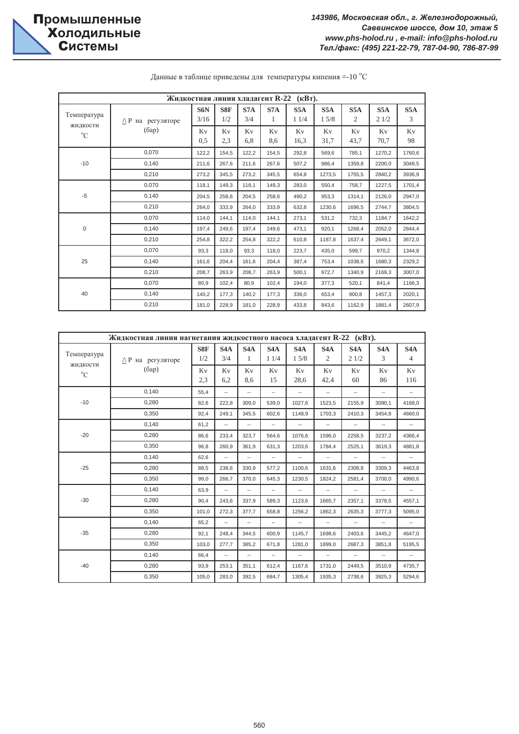|                                        | Жидкостная линия хладагент R-22<br>$(\mathbf{R}\mathbf{B}\mathbf{T})$ . |             |            |            |           |             |                          |                       |             |          |
|----------------------------------------|-------------------------------------------------------------------------|-------------|------------|------------|-----------|-------------|--------------------------|-----------------------|-------------|----------|
| Температура<br>жидкости<br>$^{\circ}C$ | $\triangle$ Р на регуляторе                                             | S6N<br>3/16 | S8F<br>1/2 | S7A<br>3/4 | S7A<br>1  | S5A<br>11/4 | S <sub>5</sub> A<br>15/8 | S5A<br>$\overline{c}$ | S5A<br>21/2 | S5A<br>3 |
|                                        | (6ap)                                                                   | Kv<br>0,5   | Kv<br>2,3  | Kv<br>6,8  | Kv<br>8,6 | Kv<br>16,3  | Kv<br>31,7               | Kv<br>43,7            | Kv<br>70,7  | Kv<br>98 |
|                                        | 0.070                                                                   | 122,2       | 154,5      | 122,2      | 154,5     | 292,8       | 569.6                    | 785,1                 | 1270,2      | 1760,6   |
| $-10$                                  | 0,140                                                                   | 211,6       | 267,6      | 211,6      | 267,6     | 507,2       | 986,4                    | 1359,8                | 2200,0      | 3049,5   |
|                                        | 0,210                                                                   | 273,2       | 345,5      | 273,2      | 345.5     | 654,8       | 1273,5                   | 1755,5                | 2840,2      | 3936,9   |
|                                        | 0.070                                                                   | 118,1       | 149,3      | 118,1      | 149.3     | 283,0       | 550.4                    | 758,7                 | 1227,5      | 1701,4   |
| $-5$                                   | 0,140                                                                   | 204,5       | 258,6      | 204,5      | 258,6     | 490,2       | 953,3                    | 1314,1                | 2126,0      | 2947,0   |
|                                        | 0,210                                                                   | 264,0       | 333,9      | 264,0      | 333,9     | 632,8       | 1230,6                   | 1696,5                | 2744,7      | 3804,5   |
|                                        | 0,070                                                                   | 114,0       | 144,1      | 114,0      | 144,1     | 273,1       | 531,2                    | 732,3                 | 1184,7      | 1642,2   |
| 0                                      | 0,140                                                                   | 197,4       | 249,6      | 197,4      | 249.6     | 473,1       | 920,1                    | 1268,4                | 2052,0      | 2844.4   |
|                                        | 0,210                                                                   | 254,8       | 322,2      | 254,8      | 322,2     | 610,8       | 1187,8                   | 1637,4                | 2649.1      | 3672,0   |
|                                        | 0.070                                                                   | 93,3        | 118,0      | 93,3       | 118,0     | 223,7       | 435,0                    | 599,7                 | 970,2       | 1344,8   |
| 25                                     | 0,140                                                                   | 161,6       | 204,4      | 161,6      | 204,4     | 387,4       | 753,4                    | 1038,6                | 1680,3      | 2329,2   |
|                                        | 0,210                                                                   | 208.7       | 263.9      | 208,7      | 263.9     | 500,1       | 972,7                    | 1340.9                | 2169,3      | 3007,0   |
|                                        | 0,070                                                                   | 80,9        | 102.4      | 80,9       | 102,4     | 194,0       | 377,3                    | 520,1                 | 841,4       | 1166,3   |
| 40                                     | 0,140                                                                   | 140,2       | 177,3      | 140.2      | 177,3     | 336,0       | 653.4                    | 900.8                 | 1457.3      | 2020,1   |
|                                        | 0,210                                                                   | 181,0       | 228,9      | 181,0      | 228,9     | 433,8       | 843,6                    | 1162,9                | 1881,4      | 2607,9   |

Данные в таблице приведены для температуры кипения =-10 °С

|                         | Жидкостная линия нагнетания жидкостного насоса хладагент R-22 (кВт). |            |                          |                     |                          |                          |                          |                          |                          |                                    |  |
|-------------------------|----------------------------------------------------------------------|------------|--------------------------|---------------------|--------------------------|--------------------------|--------------------------|--------------------------|--------------------------|------------------------------------|--|
| Температура             | $\wedge$ Р на регуляторе                                             | S8F<br>1/2 | S <sub>4</sub> A<br>3/4  | S4A<br>$\mathbf{1}$ | S4A<br>11/4              | S4A<br>15/8              | S4A<br>$\overline{2}$    | S4A<br>21/2              | S <sub>4</sub> A<br>3    | S <sub>4</sub> A<br>$\overline{4}$ |  |
| жидкости<br>$^{\circ}C$ | (6ap)                                                                | Kv<br>2,3  | Kv<br>6,2                | Kv<br>8,6           | Kv<br>15                 | Kv<br>28,6               | Kv<br>42,4               | Kv<br>60                 | Kv<br>86                 | Kv<br>116                          |  |
|                         | 0,140                                                                | 55,4       | $\overline{\phantom{a}}$ | --                  | $\overline{\phantom{a}}$ | $\overline{\phantom{a}}$ | --                       | $\overline{\phantom{a}}$ | $\overline{\phantom{a}}$ | --                                 |  |
| $-10$                   | 0,280                                                                | 82,6       | 222,8                    | 309,0               | 539,0                    | 1027,6                   | 1523,5                   | 2155,9                   | 3090,1                   | 4168,0                             |  |
|                         | 0,350                                                                | 92,4       | 249,1                    | 345,5               | 602,6                    | 1148.9                   | 1703,3                   | 2410,3                   | 3454,8                   | 4660,0                             |  |
|                         | 0,140                                                                | 61,2       | $\overline{\phantom{a}}$ | --                  | $\overline{\phantom{a}}$ | $\overline{\phantom{a}}$ |                          | $\overline{\phantom{a}}$ | $\overline{\phantom{a}}$ | $\overline{\phantom{a}}$           |  |
| $-20$                   | 0,280                                                                | 86,6       | 233,4                    | 323,7               | 564.6                    | 1076,6                   | 1596,0                   | 2258,5                   | 3237,2                   | 4366,4                             |  |
|                         | 0,350                                                                | 96,8       | 260,9                    | 361,9               | 631,3                    | 1203,6                   | 1784,4                   | 2525,1                   | 3619,3                   | 4881,8                             |  |
|                         | 0,140                                                                | 62,6       | $\overline{\phantom{a}}$ | --                  | --                       | $\overline{\phantom{a}}$ | $\overline{\phantom{a}}$ | $\overline{\phantom{a}}$ | $\overline{\phantom{a}}$ | --                                 |  |
| $-25$                   | 0,280                                                                | 88.5       | 238,6                    | 330,9               | 577,2                    | 1100.6                   | 1631,6                   | 2308.8                   | 3309.3                   | 4463.8                             |  |
|                         | 0,350                                                                | 99.0       | 266.7                    | 370,0               | 645.3                    | 1230.5                   | 1824,2                   | 2581.4                   | 3700.0                   | 4990.6                             |  |
|                         | 0,140                                                                | 63.9       | $\overline{\phantom{a}}$ | $\overline{a}$      | $\overline{\phantom{a}}$ | $\overline{\phantom{a}}$ | $\overline{\phantom{a}}$ | $\overline{\phantom{a}}$ | $\overline{\phantom{a}}$ | $\overline{a}$                     |  |
| $-30$                   | 0,280                                                                | 90,4       | 243,6                    | 337,9               | 589,3                    | 1123,6                   | 1665,7                   | 2357,1                   | 3378,5                   | 4557,1                             |  |
|                         | 0,350                                                                | 101.0      | 272.3                    | 377.7               | 658.8                    | 1256.2                   | 1862.3                   | 2635.3                   | 3777.3                   | 5095.0                             |  |
|                         | 0,140                                                                | 65,2       | $\overline{\phantom{a}}$ | --                  | $\overline{\phantom{a}}$ | $\overline{\phantom{a}}$ |                          | $\overline{\phantom{a}}$ | $\overline{\phantom{a}}$ | --                                 |  |
| $-35$                   | 0,280                                                                | 92,1       | 248,4                    | 344.5               | 600.9                    | 1145,7                   | 1698,6                   | 2403,6                   | 3445.2                   | 4647,0                             |  |
|                         | 0,350                                                                | 103,0      | 277,7                    | 385,2               | 671,8                    | 1281,0                   | 1899.0                   | 2687,3                   | 3851,8                   | 5195,5                             |  |
|                         | 0,140                                                                | 66,4       | $\overline{\phantom{a}}$ | --                  | $\overline{\phantom{a}}$ | $\overline{\phantom{a}}$ |                          | $\overline{\phantom{a}}$ | $\overline{\phantom{a}}$ | --                                 |  |
| $-40$                   | 0,280                                                                | 93,9       | 253,1                    | 351,1               | 612,4                    | 1167,6                   | 1731,0                   | 2449.5                   | 3510,9                   | 4735,7                             |  |
|                         | 0,350                                                                | 105.0      | 283,0                    | 392,5               | 684,7                    | 1305,4                   | 1935,3                   | 2738,6                   | 3925.3                   | 5294,6                             |  |